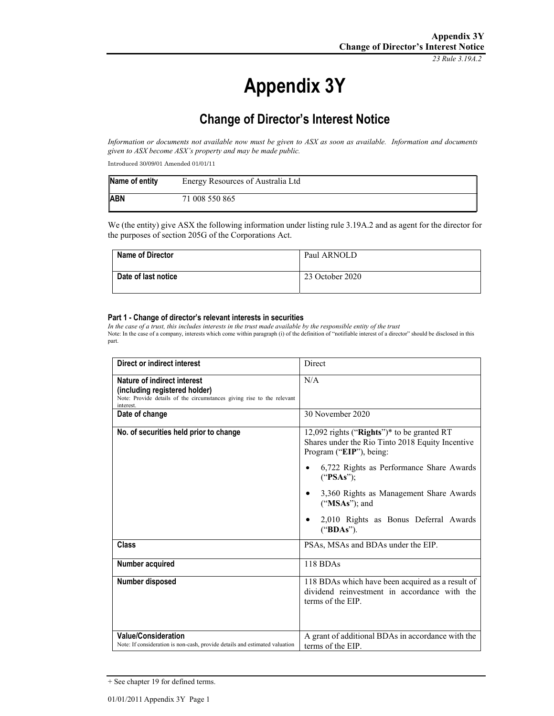*23 Rule 3.19A.2*

# **Appendix 3Y**

# **Change of Director's Interest Notice**

*Information or documents not available now must be given to ASX as soon as available. Information and documents given to ASX become ASX's property and may be made public.* 

Introduced 30/09/01 Amended 01/01/11

| Name of entity | Energy Resources of Australia Ltd |
|----------------|-----------------------------------|
| <b>ABN</b>     | 71 008 550 865                    |

We (the entity) give ASX the following information under listing rule 3.19A.2 and as agent for the director for the purposes of section 205G of the Corporations Act.

| <b>Name of Director</b> | Paul ARNOLD     |
|-------------------------|-----------------|
| Date of last notice     | 23 October 2020 |

#### **Part 1 - Change of director's relevant interests in securities**

*In the case of a trust, this includes interests in the trust made available by the responsible entity of the trust* Note: In the case of a company, interests which come within paragraph (i) of the definition of "notifiable interest of a director" should be disclosed in this part.

| Direct or indirect interest                                                                                                                         | Direct                                                                                                                                                                                                                                                                                                 |
|-----------------------------------------------------------------------------------------------------------------------------------------------------|--------------------------------------------------------------------------------------------------------------------------------------------------------------------------------------------------------------------------------------------------------------------------------------------------------|
| Nature of indirect interest<br>(including registered holder)<br>Note: Provide details of the circumstances giving rise to the relevant<br>interest. | N/A                                                                                                                                                                                                                                                                                                    |
| Date of change                                                                                                                                      | 30 November 2020                                                                                                                                                                                                                                                                                       |
| No. of securities held prior to change                                                                                                              | 12,092 rights ("Rights")* to be granted RT<br>Shares under the Rio Tinto 2018 Equity Incentive<br>Program ("EIP"), being:<br>6,722 Rights as Performance Share Awards<br>("PSAs")<br>3,360 Rights as Management Share Awards<br>$("MSAs")$ ; and<br>2,010 Rights as Bonus Deferral Awards<br>("BDAs"). |
| <b>Class</b>                                                                                                                                        | PSAs, MSAs and BDAs under the EIP.                                                                                                                                                                                                                                                                     |
| Number acquired                                                                                                                                     | 118 BDAs                                                                                                                                                                                                                                                                                               |
| Number disposed                                                                                                                                     | 118 BDAs which have been acquired as a result of<br>dividend reinvestment in accordance with the<br>terms of the EIP.                                                                                                                                                                                  |
| <b>Value/Consideration</b><br>Note: If consideration is non-cash, provide details and estimated valuation                                           | A grant of additional BDAs in accordance with the<br>terms of the EIP.                                                                                                                                                                                                                                 |

<sup>+</sup> See chapter 19 for defined terms.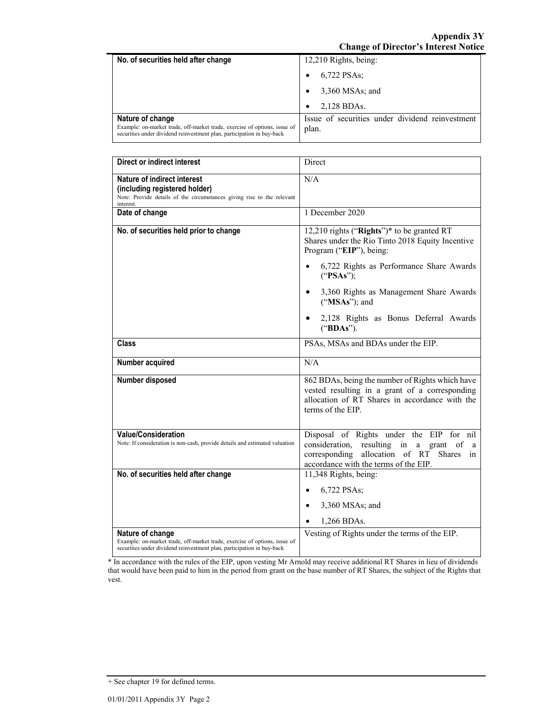| No. of securities held after change                                                                                                                                     | 12,210 Rights, being:                                    |
|-------------------------------------------------------------------------------------------------------------------------------------------------------------------------|----------------------------------------------------------|
|                                                                                                                                                                         | 6,722 PSAs;                                              |
|                                                                                                                                                                         | 3,360 MSAs; and                                          |
|                                                                                                                                                                         | 2,128 BDAs.                                              |
| Nature of change<br>Example: on-market trade, off-market trade, exercise of options, issue of<br>securities under dividend reinvestment plan, participation in buy-back | Issue of securities under dividend reinvestment<br>plan. |

| <b>Direct or indirect interest</b>                                                                                                                                      | Direct                                                                                                                                                                                               |
|-------------------------------------------------------------------------------------------------------------------------------------------------------------------------|------------------------------------------------------------------------------------------------------------------------------------------------------------------------------------------------------|
| <b>Nature of indirect interest</b><br>(including registered holder)<br>Note: Provide details of the circumstances giving rise to the relevant<br>interest.              | N/A                                                                                                                                                                                                  |
| Date of change                                                                                                                                                          | 1 December 2020                                                                                                                                                                                      |
| No. of securities held prior to change                                                                                                                                  | 12,210 rights ("Rights")* to be granted RT<br>Shares under the Rio Tinto 2018 Equity Incentive<br>Program ("EIP"), being:                                                                            |
|                                                                                                                                                                         | 6,722 Rights as Performance Share Awards<br>("PSAs");                                                                                                                                                |
|                                                                                                                                                                         | 3,360 Rights as Management Share Awards<br>("MSAs"); and                                                                                                                                             |
|                                                                                                                                                                         | 2,128 Rights as Bonus Deferral Awards<br>("BDAs").                                                                                                                                                   |
| <b>Class</b>                                                                                                                                                            | PSAs, MSAs and BDAs under the EIP.                                                                                                                                                                   |
| Number acquired                                                                                                                                                         | N/A                                                                                                                                                                                                  |
| Number disposed                                                                                                                                                         | 862 BDAs, being the number of Rights which have<br>vested resulting in a grant of a corresponding<br>allocation of RT Shares in accordance with the<br>terms of the EIP.                             |
| <b>Value/Consideration</b><br>Note: If consideration is non-cash, provide details and estimated valuation                                                               | Disposal of Rights under the EIP for nil<br>consideration, resulting in a grant of<br><sub>a</sub><br>corresponding allocation of RT<br><b>Shares</b><br>in<br>accordance with the terms of the EIP. |
| No. of securities held after change                                                                                                                                     | 11,348 Rights, being:                                                                                                                                                                                |
|                                                                                                                                                                         | 6,722 PSAs;                                                                                                                                                                                          |
|                                                                                                                                                                         | 3,360 MSAs; and                                                                                                                                                                                      |
|                                                                                                                                                                         | 1,266 BDAs.                                                                                                                                                                                          |
| Nature of change<br>Example: on-market trade, off-market trade, exercise of options, issue of<br>securities under dividend reinvestment plan, participation in buy-back | Vesting of Rights under the terms of the EIP.                                                                                                                                                        |

\* In accordance with the rules of the EIP, upon vesting Mr Arnold may receive additional RT Shares in lieu of dividends that would have been paid to him in the period from grant on the base number of RT Shares, the subject of the Rights that vest.

<sup>+</sup> See chapter 19 for defined terms.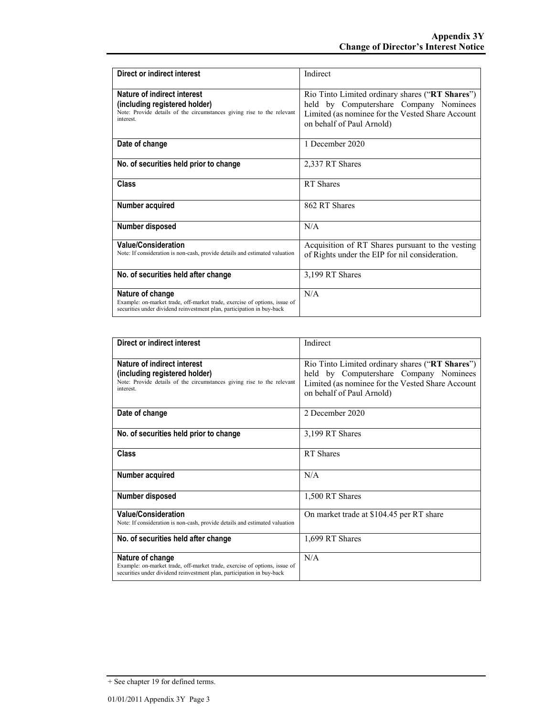| Direct or indirect interest                                                                                                                                             | Indirect                                                                                                                                                                   |
|-------------------------------------------------------------------------------------------------------------------------------------------------------------------------|----------------------------------------------------------------------------------------------------------------------------------------------------------------------------|
| Nature of indirect interest<br>(including registered holder)<br>Note: Provide details of the circumstances giving rise to the relevant<br>interest.                     | Rio Tinto Limited ordinary shares ("RT Shares")<br>held by Computershare Company Nominees<br>Limited (as nominee for the Vested Share Account<br>on behalf of Paul Arnold) |
| Date of change                                                                                                                                                          | 1 December 2020                                                                                                                                                            |
| No. of securities held prior to change                                                                                                                                  | 2,337 RT Shares                                                                                                                                                            |
| <b>Class</b>                                                                                                                                                            | RT Shares                                                                                                                                                                  |
| Number acquired                                                                                                                                                         | 862 RT Shares                                                                                                                                                              |
| <b>Number disposed</b>                                                                                                                                                  | N/A                                                                                                                                                                        |
| <b>Value/Consideration</b><br>Note: If consideration is non-cash, provide details and estimated valuation                                                               | Acquisition of RT Shares pursuant to the vesting<br>of Rights under the EIP for nil consideration.                                                                         |
| No. of securities held after change                                                                                                                                     | 3,199 RT Shares                                                                                                                                                            |
| Nature of change<br>Example: on-market trade, off-market trade, exercise of options, issue of<br>securities under dividend reinvestment plan, participation in buy-back | N/A                                                                                                                                                                        |

| Direct or indirect interest                                                                                                                                             | Indirect                                                                                                                                                                   |
|-------------------------------------------------------------------------------------------------------------------------------------------------------------------------|----------------------------------------------------------------------------------------------------------------------------------------------------------------------------|
| Nature of indirect interest<br>(including registered holder)<br>Note: Provide details of the circumstances giving rise to the relevant<br>interest.                     | Rio Tinto Limited ordinary shares ("RT Shares")<br>held by Computershare Company Nominees<br>Limited (as nominee for the Vested Share Account<br>on behalf of Paul Arnold) |
| Date of change                                                                                                                                                          | 2. December 2020                                                                                                                                                           |
| No. of securities held prior to change                                                                                                                                  | 3,199 RT Shares                                                                                                                                                            |
| <b>Class</b>                                                                                                                                                            | RT Shares                                                                                                                                                                  |
| Number acquired                                                                                                                                                         | N/A                                                                                                                                                                        |
| Number disposed                                                                                                                                                         | 1,500 RT Shares                                                                                                                                                            |
| <b>Value/Consideration</b><br>Note: If consideration is non-cash, provide details and estimated valuation                                                               | On market trade at \$104.45 per RT share                                                                                                                                   |
| No. of securities held after change                                                                                                                                     | 1,699 RT Shares                                                                                                                                                            |
| Nature of change<br>Example: on-market trade, off-market trade, exercise of options, issue of<br>securities under dividend reinvestment plan, participation in buy-back | N/A                                                                                                                                                                        |

<sup>+</sup> See chapter 19 for defined terms.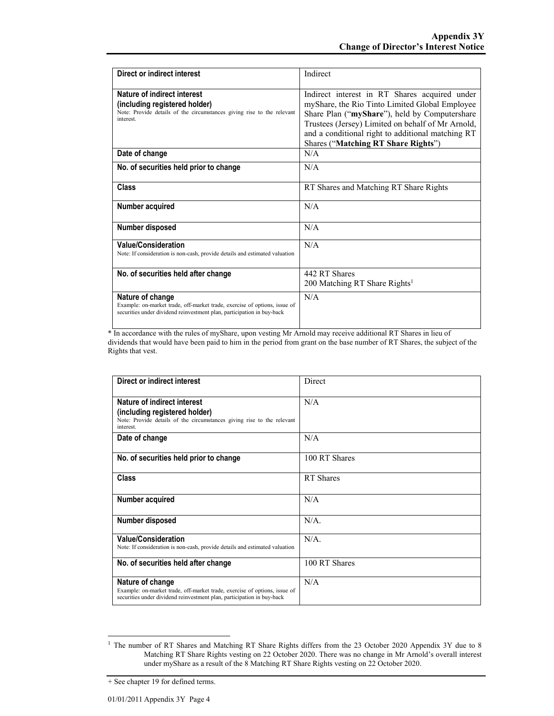| Direct or indirect interest                                                                                                                                             | Indirect                                                                                                                                                                                                                                                                                          |
|-------------------------------------------------------------------------------------------------------------------------------------------------------------------------|---------------------------------------------------------------------------------------------------------------------------------------------------------------------------------------------------------------------------------------------------------------------------------------------------|
| Nature of indirect interest<br>(including registered holder)<br>Note: Provide details of the circumstances giving rise to the relevant<br>interest.                     | Indirect interest in RT Shares acquired under<br>myShare, the Rio Tinto Limited Global Employee<br>Share Plan ("myShare"), held by Computershare<br>Trustees (Jersey) Limited on behalf of Mr Arnold,<br>and a conditional right to additional matching RT<br>Shares ("Matching RT Share Rights") |
| Date of change                                                                                                                                                          | N/A                                                                                                                                                                                                                                                                                               |
| No. of securities held prior to change                                                                                                                                  | N/A                                                                                                                                                                                                                                                                                               |
| Class                                                                                                                                                                   | RT Shares and Matching RT Share Rights                                                                                                                                                                                                                                                            |
| Number acquired                                                                                                                                                         | N/A                                                                                                                                                                                                                                                                                               |
| Number disposed                                                                                                                                                         | N/A                                                                                                                                                                                                                                                                                               |
| <b>Value/Consideration</b><br>Note: If consideration is non-cash, provide details and estimated valuation                                                               | N/A                                                                                                                                                                                                                                                                                               |
| No. of securities held after change                                                                                                                                     | 442 RT Shares<br>200 Matching RT Share Rights <sup>1</sup>                                                                                                                                                                                                                                        |
| Nature of change<br>Example: on-market trade, off-market trade, exercise of options, issue of<br>securities under dividend reinvestment plan, participation in buy-back | N/A                                                                                                                                                                                                                                                                                               |

\* In accordance with the rules of myShare, upon vesting Mr Arnold may receive additional RT Shares in lieu of dividends that would have been paid to him in the period from grant on the base number of RT Shares, the subject of the Rights that vest.

| Direct or indirect interest                                                                                                                                             | Direct        |
|-------------------------------------------------------------------------------------------------------------------------------------------------------------------------|---------------|
| Nature of indirect interest<br>(including registered holder)<br>Note: Provide details of the circumstances giving rise to the relevant<br>interest.                     | N/A           |
| Date of change                                                                                                                                                          | N/A           |
| No. of securities held prior to change                                                                                                                                  | 100 RT Shares |
| <b>Class</b>                                                                                                                                                            | RT Shares     |
| Number acquired                                                                                                                                                         | N/A           |
| Number disposed                                                                                                                                                         | $N/A$ .       |
| <b>Value/Consideration</b><br>Note: If consideration is non-cash, provide details and estimated valuation                                                               | $N/A$ .       |
| No. of securities held after change                                                                                                                                     | 100 RT Shares |
| Nature of change<br>Example: on-market trade, off-market trade, exercise of options, issue of<br>securities under dividend reinvestment plan, participation in buy-back | N/A           |

<sup>&</sup>lt;sup>1</sup> The number of RT Shares and Matching RT Share Rights differs from the 23 October 2020 Appendix 3Y due to 8 Matching RT Share Rights vesting on 22 October 2020. There was no change in Mr Arnold's overall interest under myShare as a result of the 8 Matching RT Share Rights vesting on 22 October 2020.

-

<sup>+</sup> See chapter 19 for defined terms.